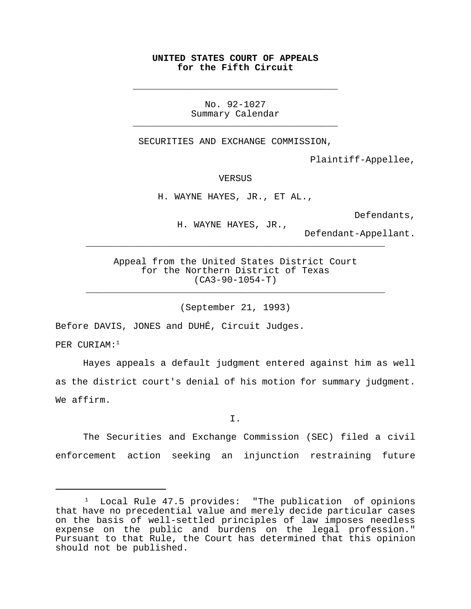## **UNITED STATES COURT OF APPEALS for the Fifth Circuit**

\_\_\_\_\_\_\_\_\_\_\_\_\_\_\_\_\_\_\_\_\_\_\_\_\_\_\_\_\_\_\_\_\_\_\_\_\_

No. 92-1027 Summary Calendar \_\_\_\_\_\_\_\_\_\_\_\_\_\_\_\_\_\_\_\_\_\_\_\_\_\_\_\_\_\_\_\_\_\_\_\_\_

SECURITIES AND EXCHANGE COMMISSION,

Plaintiff-Appellee,

VERSUS

H. WAYNE HAYES, JR., ET AL.,

Defendants,

H. WAYNE HAYES, JR.,

Defendant-Appellant.

Appeal from the United States District Court for the Northern District of Texas (CA3-90-1054-T)

\_\_\_\_\_\_\_\_\_\_\_\_\_\_\_\_\_\_\_\_\_\_\_\_\_\_\_\_\_\_\_\_\_\_\_\_\_\_\_\_\_\_\_\_\_\_\_\_\_\_\_\_\_\_

\_\_\_\_\_\_\_\_\_\_\_\_\_\_\_\_\_\_\_\_\_\_\_\_\_\_\_\_\_\_\_\_\_\_\_\_\_\_\_\_\_\_\_\_\_\_\_\_\_\_\_\_\_\_

(September 21, 1993)

Before DAVIS, JONES and DUHÉ, Circuit Judges.

PER CURIAM:<sup>1</sup>

Hayes appeals a default judgment entered against him as well as the district court's denial of his motion for summary judgment. We affirm.

I.

The Securities and Exchange Commission (SEC) filed a civil enforcement action seeking an injunction restraining future

<sup>1</sup> Local Rule 47.5 provides: "The publication of opinions that have no precedential value and merely decide particular cases on the basis of well-settled principles of law imposes needless expense on the public and burdens on the legal profession." Pursuant to that Rule, the Court has determined that this opinion should not be published.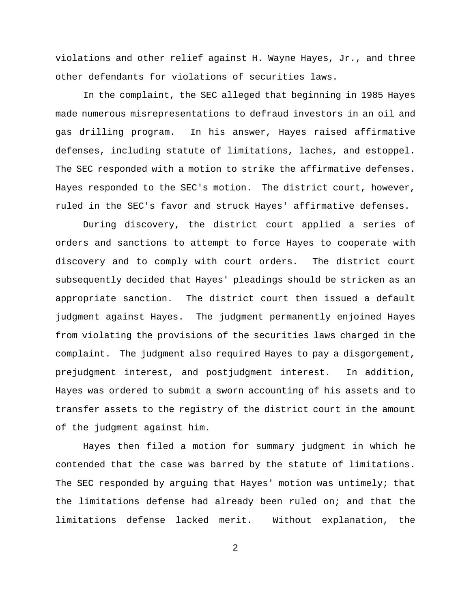violations and other relief against H. Wayne Hayes, Jr., and three other defendants for violations of securities laws.

In the complaint, the SEC alleged that beginning in 1985 Hayes made numerous misrepresentations to defraud investors in an oil and gas drilling program. In his answer, Hayes raised affirmative defenses, including statute of limitations, laches, and estoppel. The SEC responded with a motion to strike the affirmative defenses. Hayes responded to the SEC's motion. The district court, however, ruled in the SEC's favor and struck Hayes' affirmative defenses.

During discovery, the district court applied a series of orders and sanctions to attempt to force Hayes to cooperate with discovery and to comply with court orders. The district court subsequently decided that Hayes' pleadings should be stricken as an appropriate sanction. The district court then issued a default judgment against Hayes. The judgment permanently enjoined Hayes from violating the provisions of the securities laws charged in the complaint. The judgment also required Hayes to pay a disgorgement, prejudgment interest, and postjudgment interest. In addition, Hayes was ordered to submit a sworn accounting of his assets and to transfer assets to the registry of the district court in the amount of the judgment against him.

Hayes then filed a motion for summary judgment in which he contended that the case was barred by the statute of limitations. The SEC responded by arguing that Hayes' motion was untimely; that the limitations defense had already been ruled on; and that the limitations defense lacked merit. Without explanation, the

2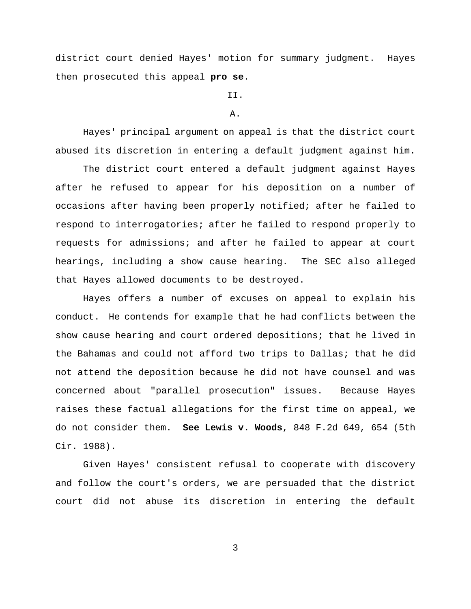district court denied Hayes' motion for summary judgment. Hayes then prosecuted this appeal **pro se**.

## II.

## A.

Hayes' principal argument on appeal is that the district court abused its discretion in entering a default judgment against him.

The district court entered a default judgment against Hayes after he refused to appear for his deposition on a number of occasions after having been properly notified; after he failed to respond to interrogatories; after he failed to respond properly to requests for admissions; and after he failed to appear at court hearings, including a show cause hearing. The SEC also alleged that Hayes allowed documents to be destroyed.

Hayes offers a number of excuses on appeal to explain his conduct. He contends for example that he had conflicts between the show cause hearing and court ordered depositions; that he lived in the Bahamas and could not afford two trips to Dallas; that he did not attend the deposition because he did not have counsel and was concerned about "parallel prosecution" issues. Because Hayes raises these factual allegations for the first time on appeal, we do not consider them. **See Lewis v. Woods**, 848 F.2d 649, 654 (5th Cir. 1988).

Given Hayes' consistent refusal to cooperate with discovery and follow the court's orders, we are persuaded that the district court did not abuse its discretion in entering the default

3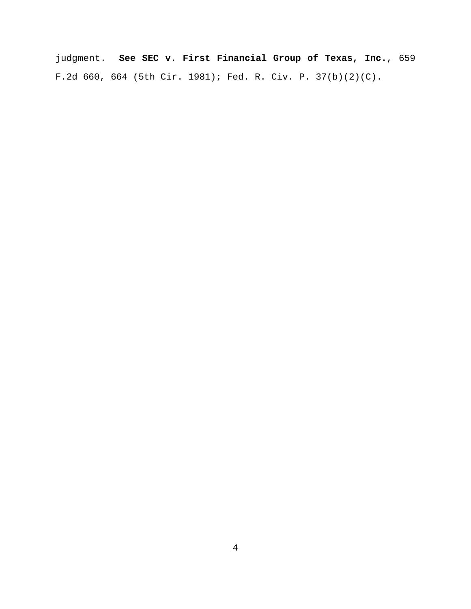judgment. **See SEC v. First Financial Group of Texas, Inc.**, 659 F.2d 660, 664 (5th Cir. 1981); Fed. R. Civ. P. 37(b)(2)(C).